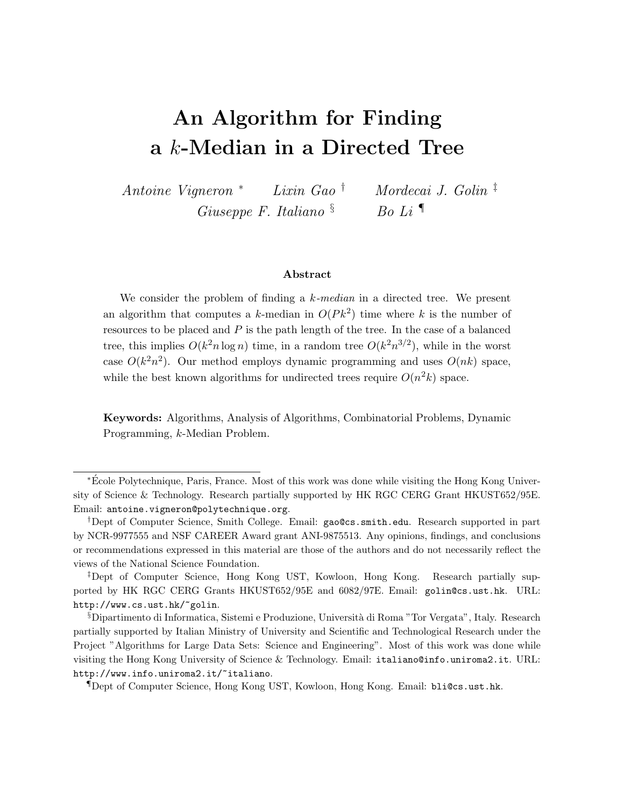# An Algorithm for Finding a k-Median in a Directed Tree

Antoine Vigneron <sup>∗</sup> Lixin Gao † Mordecai J. Golin ‡ Giuseppe F. Italiano  $\delta$  Bo Li

#### Abstract

We consider the problem of finding a  $k$ -median in a directed tree. We present an algorithm that computes a k-median in  $O(Pk^2)$  time where k is the number of resources to be placed and P is the path length of the tree. In the case of a balanced tree, this implies  $O(k^2 n \log n)$  time, in a random tree  $O(k^2 n^{3/2})$ , while in the worst case  $O(k^2n^2)$ . Our method employs dynamic programming and uses  $O(nk)$  space, while the best known algorithms for undirected trees require  $O(n^2k)$  space.

Keywords: Algorithms, Analysis of Algorithms, Combinatorial Problems, Dynamic Programming, k-Median Problem.

<sup>\*</sup>École Polytechnique, Paris, France. Most of this work was done while visiting the Hong Kong University of Science & Technology. Research partially supported by HK RGC CERG Grant HKUST652/95E. Email: antoine.vigneron@polytechnique.org.

<sup>†</sup>Dept of Computer Science, Smith College. Email: gao@cs.smith.edu. Research supported in part by NCR-9977555 and NSF CAREER Award grant ANI-9875513. Any opinions, findings, and conclusions or recommendations expressed in this material are those of the authors and do not necessarily reflect the views of the National Science Foundation.

<sup>‡</sup>Dept of Computer Science, Hong Kong UST, Kowloon, Hong Kong. Research partially supported by HK RGC CERG Grants HKUST652/95E and 6082/97E. Email: golin@cs.ust.hk. URL: http://www.cs.ust.hk/~golin.

<sup>§</sup>Dipartimento di Informatica, Sistemi e Produzione, Universit`a di Roma "Tor Vergata", Italy. Research partially supported by Italian Ministry of University and Scientific and Technological Research under the Project "Algorithms for Large Data Sets: Science and Engineering". Most of this work was done while visiting the Hong Kong University of Science & Technology. Email: italiano@info.uniroma2.it. URL: http://www.info.uniroma2.it/~italiano.

<sup>¶</sup>Dept of Computer Science, Hong Kong UST, Kowloon, Hong Kong. Email: bli@cs.ust.hk.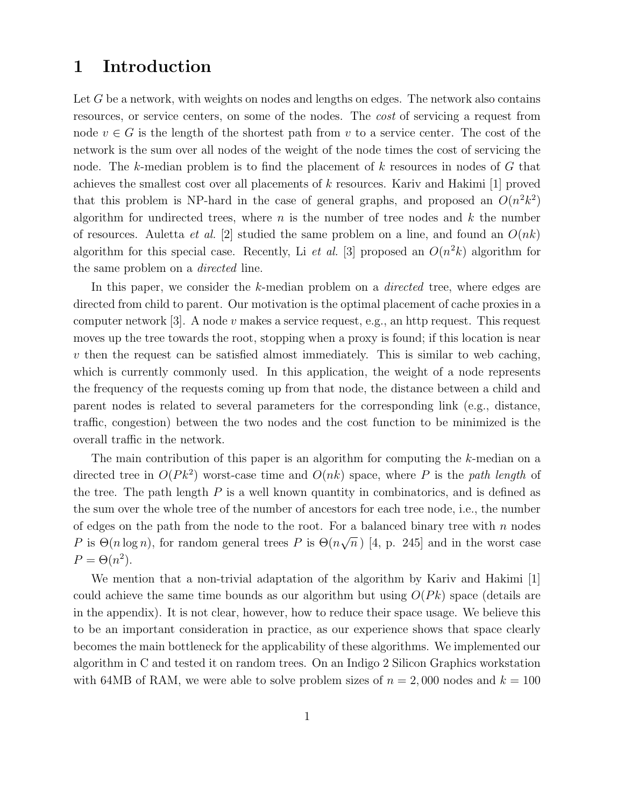## 1 Introduction

Let G be a network, with weights on nodes and lengths on edges. The network also contains resources, or service centers, on some of the nodes. The cost of servicing a request from node  $v \in G$  is the length of the shortest path from v to a service center. The cost of the network is the sum over all nodes of the weight of the node times the cost of servicing the node. The k-median problem is to find the placement of k resources in nodes of G that achieves the smallest cost over all placements of k resources. Kariv and Hakimi [1] proved that this problem is NP-hard in the case of general graphs, and proposed an  $O(n^2k^2)$ algorithm for undirected trees, where  $n$  is the number of tree nodes and  $k$  the number of resources. Auletta *et al.* [2] studied the same problem on a line, and found an  $O(nk)$ algorithm for this special case. Recently, Li et al. [3] proposed an  $O(n^2k)$  algorithm for the same problem on a *directed* line.

In this paper, we consider the  $k$ -median problem on a *directed* tree, where edges are directed from child to parent. Our motivation is the optimal placement of cache proxies in a computer network  $[3]$ . A node v makes a service request, e.g., an http request. This request moves up the tree towards the root, stopping when a proxy is found; if this location is near  $v$  then the request can be satisfied almost immediately. This is similar to web caching, which is currently commonly used. In this application, the weight of a node represents the frequency of the requests coming up from that node, the distance between a child and parent nodes is related to several parameters for the corresponding link (e.g., distance, traffic, congestion) between the two nodes and the cost function to be minimized is the overall traffic in the network.

The main contribution of this paper is an algorithm for computing the k-median on a directed tree in  $O(Pk^2)$  worst-case time and  $O(nk)$  space, where P is the path length of the tree. The path length  $P$  is a well known quantity in combinatorics, and is defined as the sum over the whole tree of the number of ancestors for each tree node, i.e., the number of edges on the path from the node to the root. For a balanced binary tree with  $n$  nodes P is  $\Theta(n \log n)$ , for random general trees P is  $\Theta(n \sqrt{n})$  [4, p. 245] and in the worst case  $P = \Theta(n^2)$ .

We mention that a non-trivial adaptation of the algorithm by Kariv and Hakimi [1] could achieve the same time bounds as our algorithm but using  $O(Pk)$  space (details are in the appendix). It is not clear, however, how to reduce their space usage. We believe this to be an important consideration in practice, as our experience shows that space clearly becomes the main bottleneck for the applicability of these algorithms. We implemented our algorithm in C and tested it on random trees. On an Indigo 2 Silicon Graphics workstation with 64MB of RAM, we were able to solve problem sizes of  $n = 2,000$  nodes and  $k = 100$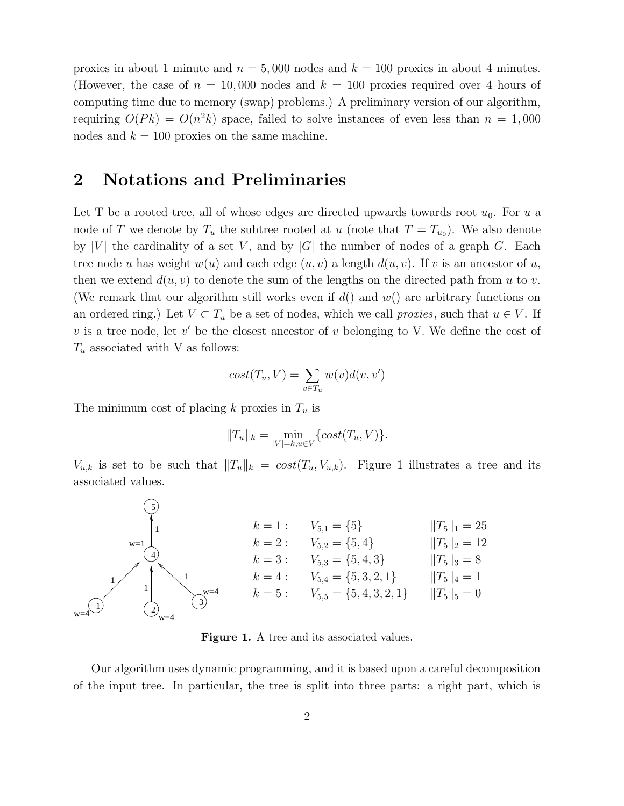proxies in about 1 minute and  $n = 5,000$  nodes and  $k = 100$  proxies in about 4 minutes. (However, the case of  $n = 10,000$  nodes and  $k = 100$  proxies required over 4 hours of computing time due to memory (swap) problems.) A preliminary version of our algorithm, requiring  $O(Pk) = O(n^2k)$  space, failed to solve instances of even less than  $n = 1,000$ nodes and  $k = 100$  proxies on the same machine.

## 2 Notations and Preliminaries

Let T be a rooted tree, all of whose edges are directed upwards towards root  $u_0$ . For u a node of T we denote by  $T_u$  the subtree rooted at u (note that  $T = T_{u_0}$ ). We also denote by |V| the cardinality of a set V, and by  $|G|$  the number of nodes of a graph G. Each tree node u has weight  $w(u)$  and each edge  $(u, v)$  a length  $d(u, v)$ . If v is an ancestor of u, then we extend  $d(u, v)$  to denote the sum of the lengths on the directed path from u to v. (We remark that our algorithm still works even if  $d()$  and  $w()$  are arbitrary functions on an ordered ring.) Let  $V \subset T_u$  be a set of nodes, which we call *proxies*, such that  $u \in V$ . If  $v$  is a tree node, let  $v'$  be the closest ancestor of  $v$  belonging to V. We define the cost of  $T_u$  associated with V as follows:

$$
cost(T_u, V) = \sum_{v \in T_u} w(v)d(v, v')
$$

The minimum cost of placing k proxies in  $T_u$  is

$$
||T_u||_k = \min_{|V|=k, u \in V} \{ cost(T_u, V) \}.
$$

 $V_{u,k}$  is set to be such that  $||T_u||_k = cost(T_u, V_{u,k})$ . Figure 1 illustrates a tree and its associated values.



Figure 1. A tree and its associated values.

Our algorithm uses dynamic programming, and it is based upon a careful decomposition of the input tree. In particular, the tree is split into three parts: a right part, which is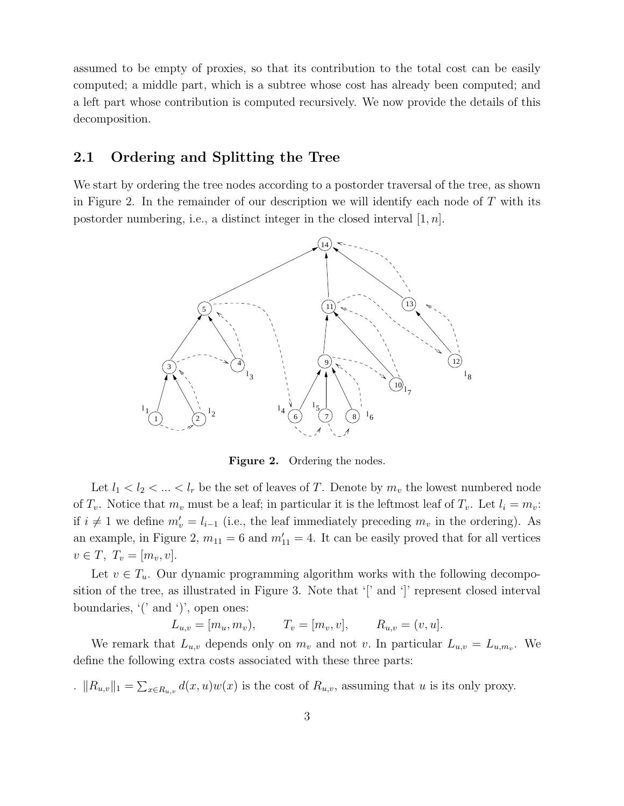assumed to be empty of proxies, so that its contribution to the total cost can be easily computed; a middle part, which is a subtree whose cost has already been computed; and a left part whose contribution is computed recursively. We now provide the details of this decomposition.

#### 2.1 Ordering and Splitting the Tree

We start by ordering the tree nodes according to a postorder traversal of the tree, as shown in Figure 2. In the remainder of our description we will identify each node of  $T$  with its postorder numbering, i.e., a distinct integer in the closed interval  $[1, n]$ .



Figure 2. Ordering the nodes.

Let  $l_1 < l_2 < ... < l_r$  be the set of leaves of T. Denote by  $m_v$  the lowest numbered node of  $T_v$ . Notice that  $m_v$  must be a leaf; in particular it is the leftmost leaf of  $T_v$ . Let  $l_i = m_v$ : if  $i \neq 1$  we define  $m'_v = l_{i-1}$  (i.e., the leaf immediately preceding  $m_v$  in the ordering). As an example, in Figure 2,  $m_{11} = 6$  and  $m'_{11} = 4$ . It can be easily proved that for all vertices  $v \in T$ ,  $T_v = [m_v, v]$ .

Let  $v \in T_u$ . Our dynamic programming algorithm works with the following decomposition of the tree, as illustrated in Figure 3. Note that '[' and ']' represent closed interval boundaries, '(' and ')', open ones:

 $L_{u,v} = [m_u, m_v), \qquad T_v = [m_v, v], \qquad R_{u,v} = (v, u].$ 

We remark that  $L_{u,v}$  depends only on  $m_v$  and not v. In particular  $L_{u,v} = L_{u,m_v}$ . We define the following extra costs associated with these three parts:

.  $||R_{u,v}||_1 = \sum_{x \in R_{u,v}} d(x,u)w(x)$  is the cost of  $R_{u,v}$ , assuming that u is its only proxy.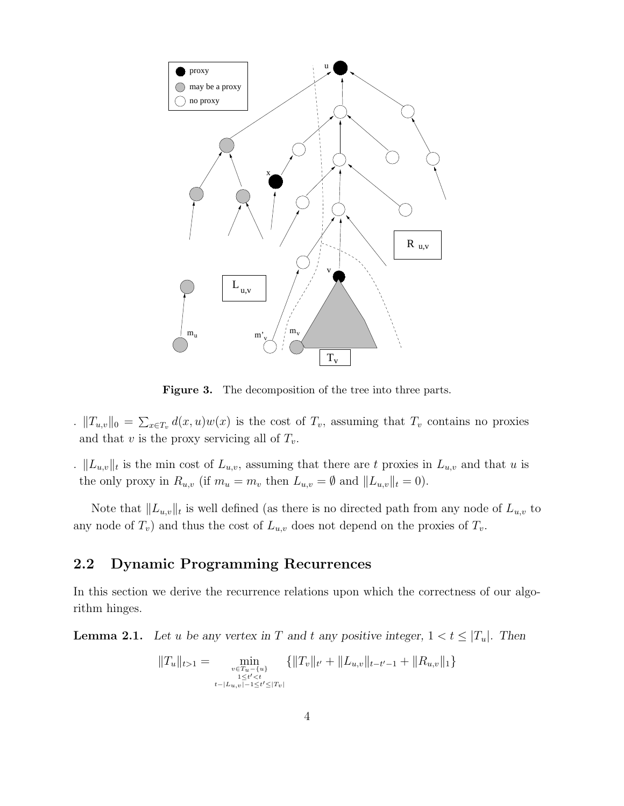

Figure 3. The decomposition of the tree into three parts.

- .  $||T_{u,v}||_0 = \sum_{x \in T_v} d(x,u)w(x)$  is the cost of  $T_v$ , assuming that  $T_v$  contains no proxies and that v is the proxy servicing all of  $T_v$ .
- .  $||L_{u,v}||_t$  is the min cost of  $L_{u,v}$ , assuming that there are t proxies in  $L_{u,v}$  and that u is the only proxy in  $R_{u,v}$  (if  $m_u = m_v$  then  $L_{u,v} = \emptyset$  and  $||L_{u,v}||_t = 0$ ).

Note that  $||L_{u,v}||_t$  is well defined (as there is no directed path from any node of  $L_{u,v}$  to any node of  $T_v$ ) and thus the cost of  $L_{u,v}$  does not depend on the proxies of  $T_v$ .

#### 2.2 Dynamic Programming Recurrences

In this section we derive the recurrence relations upon which the correctness of our algorithm hinges.

**Lemma 2.1.** Let u be any vertex in T and t any positive integer,  $1 < t \leq |T_u|$ . Then

$$
||T_u||_{t>1} = \min_{\substack{v \in T_u - \{u\} \\ 1 \le t' < t \\ t - |L_{u,v}| - 1 \le t' \le |T_v|}} \{||T_v||_{t'} + ||L_{u,v}||_{t-t'-1} + ||R_{u,v}||_1\}
$$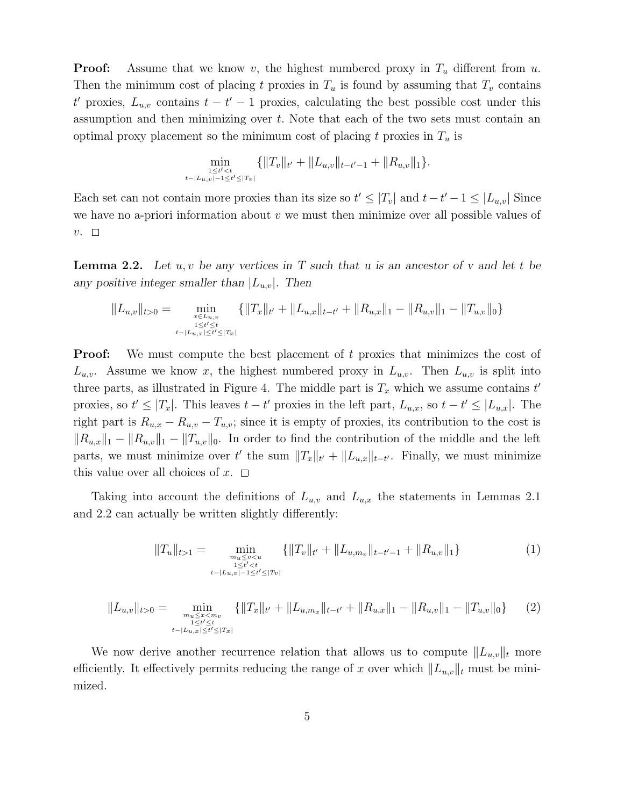**Proof:** Assume that we know v, the highest numbered proxy in  $T_u$  different from u. Then the minimum cost of placing t proxies in  $T_u$  is found by assuming that  $T_v$  contains t' proxies,  $L_{u,v}$  contains  $t-t'-1$  proxies, calculating the best possible cost under this assumption and then minimizing over t. Note that each of the two sets must contain an optimal proxy placement so the minimum cost of placing t proxies in  $T_u$  is

$$
\min_{\substack{1 \le t' < t \\ t-|L_{u,v}|-1 \le t' \le |T_v|}} \{||T_v||_{t'} + ||L_{u,v}||_{t-t'-1} + ||R_{u,v}||_1\}.
$$

Each set can not contain more proxies than its size so  $t' \leq |T_v|$  and  $t-t'-1 \leq |L_{u,v}|$  Since we have no a-priori information about  $v$  we must then minimize over all possible values of  $v. \square$ 

**Lemma 2.2.** Let  $u, v$  be any vertices in T such that u is an ancestor of v and let t be any positive integer smaller than  $|L_{u,v}|$ . Then

$$
||L_{u,v}||_{t>0} = \min_{\substack{x \in L_{u,v} \\ 1 \le t' \le t \\ t-|L_{u,x}| \le t' \le |T_x|}} \{||T_x||_{t'} + ||L_{u,x}||_{t-t'} + ||R_{u,x}||_1 - ||R_{u,v}||_1 - ||T_{u,v}||_0\}
$$

**Proof:** We must compute the best placement of t proxies that minimizes the cost of  $L_{u,v}$ . Assume we know x, the highest numbered proxy in  $L_{u,v}$ . Then  $L_{u,v}$  is split into three parts, as illustrated in Figure 4. The middle part is  $T_x$  which we assume contains  $t'$ proxies, so  $t' \leq |T_x|$ . This leaves  $t - t'$  proxies in the left part,  $L_{u,x}$ , so  $t - t' \leq |L_{u,x}|$ . The right part is  $R_{u,x} - R_{u,v} - T_{u,v}$ ; since it is empty of proxies, its contribution to the cost is  $||R_{u,x}||_1 - ||R_{u,v}||_1 - ||T_{u,v}||_0$ . In order to find the contribution of the middle and the left parts, we must minimize over t' the sum  $||T_x||_{t'} + ||L_{u,x}||_{t-t'}$ . Finally, we must minimize this value over all choices of  $x$ .  $\Box$ 

Taking into account the definitions of  $L_{u,v}$  and  $L_{u,x}$  the statements in Lemmas 2.1 and 2.2 can actually be written slightly differently:

$$
||T_u||_{t>1} = \min_{\substack{m_u \le v < u \\ 1 \le t' < t \\ t - |L_{u,v}| - 1 \le t' \le |T_v|}} \{||T_v||_{t'} + ||L_{u,m_v}||_{t-t'-1} + ||R_{u,v}||_1\} \tag{1}
$$

$$
||L_{u,v}||_{t>0} = \min_{\substack{m_u \le x < m_v \\ 1 \le t' \le t \\ t - |L_{u,x}| \le t' \le |T_x|}} \{ ||T_x||_{t'} + ||L_{u,m_x}||_{t-t'} + ||R_{u,x}||_1 - ||R_{u,v}||_1 - ||T_{u,v}||_0 \} \qquad (2)
$$

We now derive another recurrence relation that allows us to compute  $||L_{u,v}||_t$  more efficiently. It effectively permits reducing the range of x over which  $||L_{u,v}||_t$  must be minimized.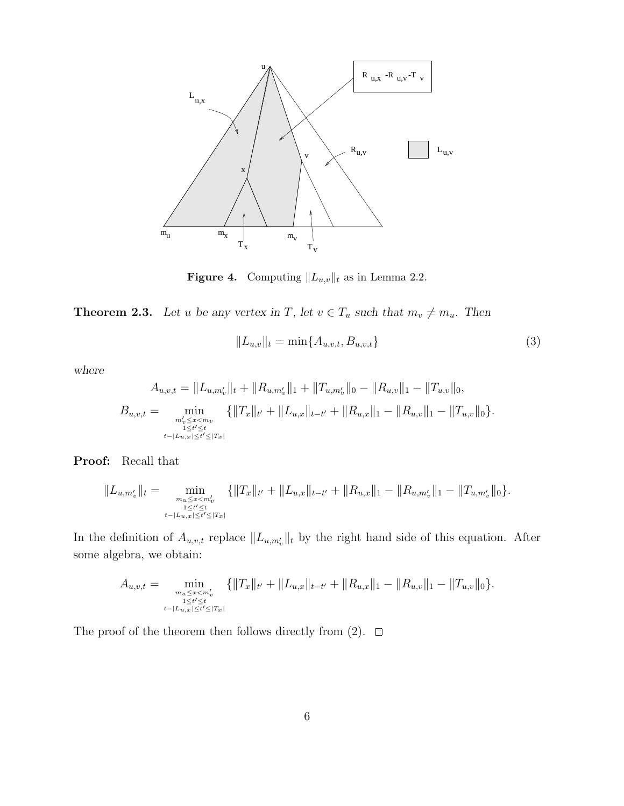

Figure 4. Computing  $||L_{u,v}||_t$  as in Lemma 2.2.

**Theorem 2.3.** Let u be any vertex in T, let  $v \in T_u$  such that  $m_v \neq m_u$ . Then

$$
||L_{u,v}||_{t} = \min\{A_{u,v,t}, B_{u,v,t}\}\
$$
\n(3)

where

$$
A_{u,v,t} = \|L_{u,m'_v}\|_t + \|R_{u,m'_v}\|_1 + \|T_{u,m'_v}\|_0 - \|R_{u,v}\|_1 - \|T_{u,v}\|_0,
$$
  
\n
$$
B_{u,v,t} = \min_{\substack{m'_v \le x < mv \\ 1 \le t' \le t}} \{ \|T_x\|_{t'} + \|L_{u,x}\|_{t-t'} + \|R_{u,x}\|_1 - \|R_{u,v}\|_1 - \|T_{u,v}\|_0 \}.
$$

Proof: Recall that

$$
||L_{u,m'_v}||_t = \min_{\substack{m_u \leq x < m'_v \\ 1 \leq t' \leq t \\ t - |L_{u,x}| \leq t' \leq |T_x|}} \{||T_x||_{t'} + ||L_{u,x}||_{t-t'} + ||R_{u,x}||_1 - ||R_{u,m'_v}||_1 - ||T_{u,m'_v}||_0\}.
$$

In the definition of  $A_{u,v,t}$  replace  $||L_{u,m'_v}||_t$  by the right hand side of this equation. After some algebra, we obtain:

$$
A_{u,v,t} = \min_{\substack{m_u \leq x < m'_v \\ 1 \leq t' \leq t \\ t - |L_{u,x}| \leq t' \leq |T_x|}} \{ \|T_x\|_{t'} + \|L_{u,x}\|_{t-t'} + \|R_{u,x}\|_1 - \|R_{u,v}\|_1 - \|T_{u,v}\|_0 \}.
$$

The proof of the theorem then follows directly from (2).  $\Box$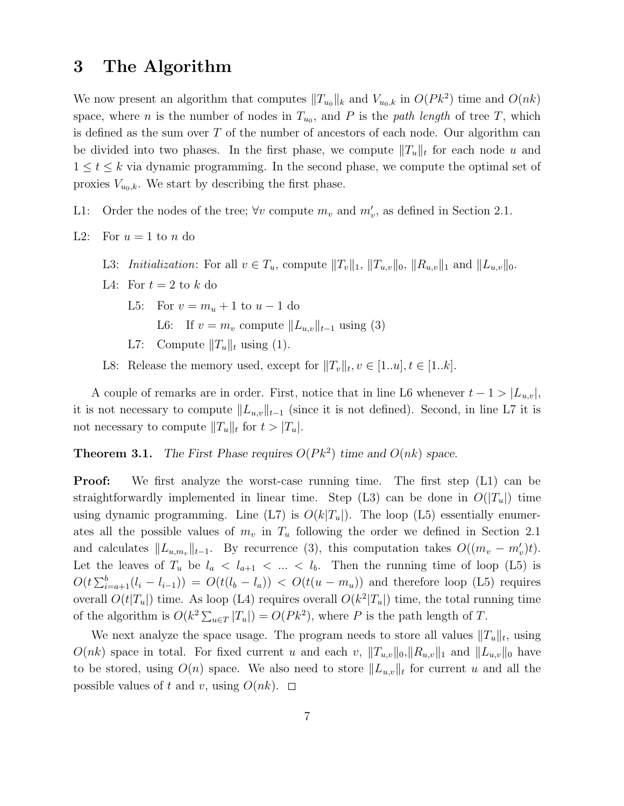### 3 The Algorithm

We now present an algorithm that computes  $||T_{u_0}||_k$  and  $V_{u_0,k}$  in  $O(Pk^2)$  time and  $O(nk)$ space, where *n* is the number of nodes in  $T_{u_0}$ , and *P* is the *path length* of tree *T*, which is defined as the sum over  $T$  of the number of ancestors of each node. Our algorithm can be divided into two phases. In the first phase, we compute  $||T_u||_t$  for each node u and  $1 \leq t \leq k$  via dynamic programming. In the second phase, we compute the optimal set of proxies  $V_{u_0,k}$ . We start by describing the first phase.

- L1: Order the nodes of the tree;  $\forall v$  compute  $m_v$  and  $m'_v$ , as defined in Section 2.1.
- L2: For  $u = 1$  to n do
	- L3: *Initialization*: For all  $v \in T_u$ , compute  $||T_v||_1$ ,  $||T_{u,v}||_0$ ,  $||R_{u,v}||_1$  and  $||L_{u,v}||_0$ .
	- L4: For  $t = 2$  to k do
		- L5: For  $v = m_u + 1$  to  $u 1$  do
			- L6: If  $v = m_v$  compute  $||L_{u,v}||_{t-1}$  using (3)
		- L7: Compute  $||T_u||_t$  using (1).
	- L8: Release the memory used, except for  $||T_v||_t, v \in [1..u], t \in [1..k]$ .

A couple of remarks are in order. First, notice that in line L6 whenever  $t - 1 > |L_{u,v}|$ , it is not necessary to compute  $||L_{u,v}||_{t-1}$  (since it is not defined). Second, in line L7 it is not necessary to compute  $||T_u||_t$  for  $t > |T_u|$ .

**Theorem 3.1.** The First Phase requires  $O(Pk^2)$  time and  $O(nk)$  space.

**Proof:** We first analyze the worst-case running time. The first step (L1) can be straightforwardly implemented in linear time. Step (L3) can be done in  $O(|T_u|)$  time using dynamic programming. Line (L7) is  $O(k|T_u|)$ . The loop (L5) essentially enumerates all the possible values of  $m_v$  in  $T_u$  following the order we defined in Section 2.1 and calculates  $||L_{u,m_v}||_{t-1}$ . By recurrence (3), this computation takes  $O((m_v - m'_v)t)$ . Let the leaves of  $T_u$  be  $l_a < l_{a+1} < ... < l_b$ . Then the running time of loop (L5) is  $O(t\sum_{i=a+1}^{b}(l_i-l_{i-1})) = O(t(l_b-l_a)) < O(t(u-m_u))$  and therefore loop (L5) requires overall  $O(t|T_u|)$  time. As loop (L4) requires overall  $O(k^2|T_u|)$  time, the total running time of the algorithm is  $O(k^2 \sum_{u \in T} |T_u|) = O(Pk^2)$ , where P is the path length of T.

We next analyze the space usage. The program needs to store all values  $||T_u||_t$ , using  $O(nk)$  space in total. For fixed current u and each v,  $||T_{u,v}||_0,||R_{u,v}||_1$  and  $||L_{u,v}||_0$  have to be stored, using  $O(n)$  space. We also need to store  $||L_{u,v}||_t$  for current u and all the possible values of t and v, using  $O(nk)$ .  $\Box$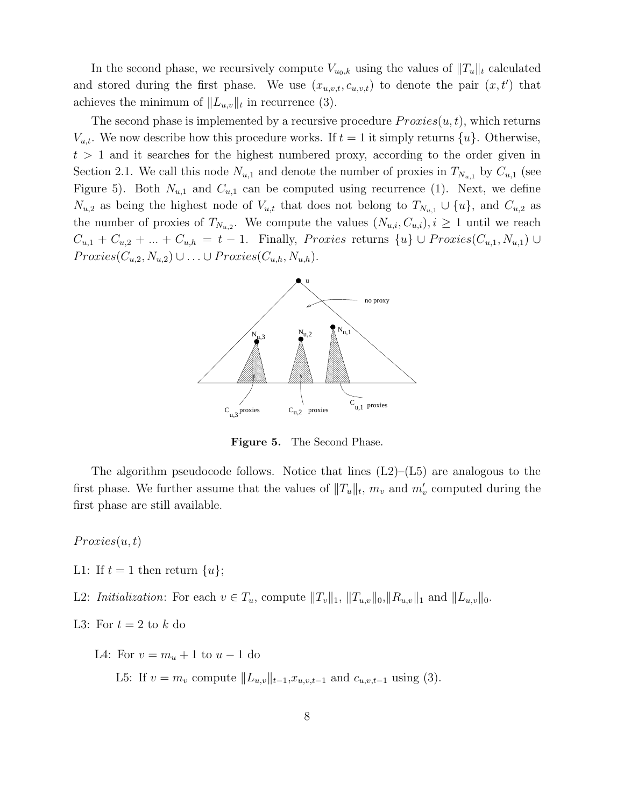In the second phase, we recursively compute  $V_{u_0,k}$  using the values of  $||T_u||_t$  calculated and stored during the first phase. We use  $(x_{u,v,t}, c_{u,v,t})$  to denote the pair  $(x, t')$  that achieves the minimum of  $||L_{u,v}||_t$  in recurrence (3).

The second phase is implemented by a recursive procedure  $Proxies(u, t)$ , which returns  $V_{u,t}$ . We now describe how this procedure works. If  $t = 1$  it simply returns  $\{u\}$ . Otherwise,  $t > 1$  and it searches for the highest numbered proxy, according to the order given in Section 2.1. We call this node  $N_{u,1}$  and denote the number of proxies in  $T_{N_{u,1}}$  by  $C_{u,1}$  (see Figure 5). Both  $N_{u,1}$  and  $C_{u,1}$  can be computed using recurrence (1). Next, we define  $N_{u,2}$  as being the highest node of  $V_{u,t}$  that does not belong to  $T_{N_{u,1}} \cup \{u\}$ , and  $C_{u,2}$  as the number of proxies of  $T_{N_{u,2}}$ . We compute the values  $(N_{u,i}, C_{u,i}), i \geq 1$  until we reach  $C_{u,1} + C_{u,2} + ... + C_{u,h} = t-1$ . Finally, *Proxies* returns  $\{u\} \cup Proxies(C_{u,1}, N_{u,1}) \cup$  $Proxies(C_{u,2}, N_{u,2}) \cup \ldots \cup Proxies(C_{u,h}, N_{u,h}).$ 



Figure 5. The Second Phase.

The algorithm pseudocode follows. Notice that lines  $(L2)$ – $(L5)$  are analogous to the first phase. We further assume that the values of  $||T_u||_t$ ,  $m_v$  and  $m'_v$  computed during the first phase are still available.

 $Proxies(u, t)$ 

L1: If  $t = 1$  then return  $\{u\}$ ;

L2: Initialization: For each  $v \in T_u$ , compute  $||T_v||_1$ ,  $||T_{u,v}||_0$ ,  $||R_{u,v}||_1$  and  $||L_{u,v}||_0$ .

L3: For  $t = 2$  to k do

L4: For  $v = m_u + 1$  to  $u - 1$  do

L5: If  $v = m_v$  compute  $||L_{u,v}||_{t-1}$ , $x_{u,v,t-1}$  and  $c_{u,v,t-1}$  using (3).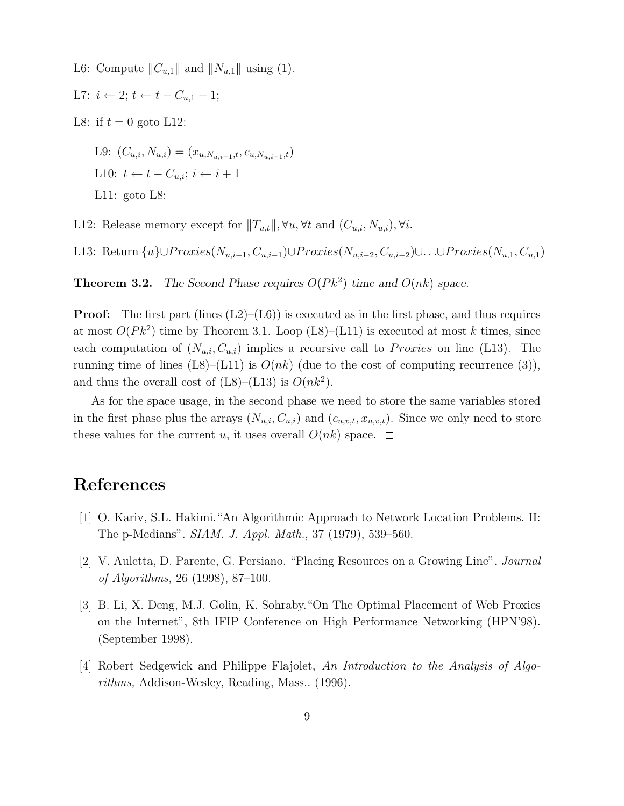L6: Compute  $||C_{u,1}||$  and  $||N_{u,1}||$  using (1).

$$
L7: i \leftarrow 2; t \leftarrow t - C_{u,1} - 1;
$$

L8: if  $t = 0$  goto L12:

L9:  $(C_{u,i}, N_{u,i}) = (x_{u,N_{u,i-1},t}, c_{u,N_{u,i-1},t})$ L10:  $t \leftarrow t - C_{u,i}; i \leftarrow i + 1$ L11: goto L8:

L12: Release memory except for  $||T_{u,t}||$ ,  $\forall u, \forall t$  and  $(C_{u,i}, N_{u,i})$ ,  $\forall i$ .

L13: Return  $\{u\} \cup Proxies(N_{u,i-1}, C_{u,i-1}) \cup Proxies(N_{u,i-2}, C_{u,i-2}) \cup ... \cup Proxies(N_{u,1}, C_{u,1})$ 

**Theorem 3.2.** The Second Phase requires  $O(Pk^2)$  time and  $O(nk)$  space.

**Proof:** The first part (lines  $(L2)$ – $(L6)$ ) is executed as in the first phase, and thus requires at most  $O(Pk^2)$  time by Theorem 3.1. Loop (L8)–(L11) is executed at most k times, since each computation of  $(N_{u,i}, C_{u,i})$  implies a recursive call to *Proxies* on line (L13). The running time of lines  $(L8)$ – $(L11)$  is  $O(nk)$  (due to the cost of computing recurrence (3)), and thus the overall cost of  $(L8)$ - $(L13)$  is  $O(nk^2)$ .

As for the space usage, in the second phase we need to store the same variables stored in the first phase plus the arrays  $(N_{u,i}, C_{u,i})$  and  $(c_{u,v,t}, x_{u,v,t})$ . Since we only need to store these values for the current u, it uses overall  $O(nk)$  space.  $\Box$ 

## References

- [1] O. Kariv, S.L. Hakimi."An Algorithmic Approach to Network Location Problems. II: The p-Medians". SIAM. J. Appl. Math., 37 (1979), 539–560.
- [2] V. Auletta, D. Parente, G. Persiano. "Placing Resources on a Growing Line". Journal of Algorithms, 26 (1998), 87–100.
- [3] B. Li, X. Deng, M.J. Golin, K. Sohraby."On The Optimal Placement of Web Proxies on the Internet", 8th IFIP Conference on High Performance Networking (HPN'98). (September 1998).
- [4] Robert Sedgewick and Philippe Flajolet, An Introduction to the Analysis of Algorithms, Addison-Wesley, Reading, Mass.. (1996).